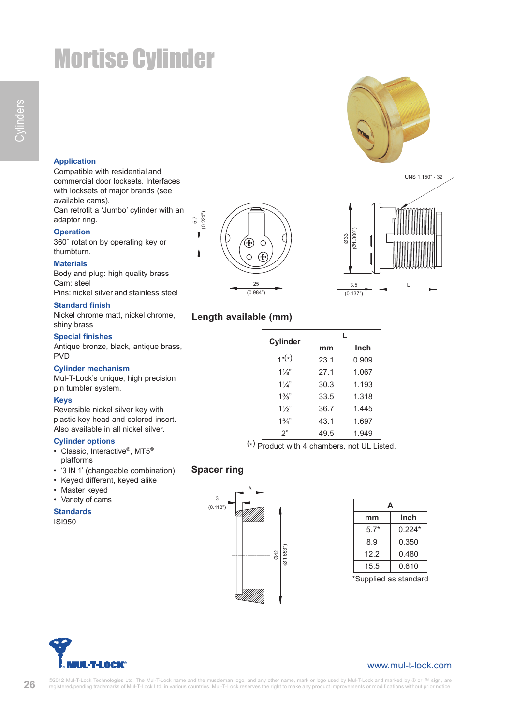# Mortise Cylinder

## **Application**

Compatible with residential and commercial door locksets. Interfaces with locksets of major brands (see available cams). Can retrofit a 'Jumbo' cylinder with an adaptor ring.

**Operation**

360˚ rotation by operating key or thumbturn.

### **Materials**

Body and plug: high quality brass Cam: steel Pins: nickel silver and stainless steel

#### **Standard finish**

Nickel chrome matt, nickel chrome, shiny brass

#### **Special finishes**

Antique bronze, black, antique brass, PVD

#### **Cylinder mechanism**

Mul-T-Lock's unique, high precision pin tumbler system.

#### **Keys**

Reversible nickel silver key with plastic key head and colored insert. Also available in all nickel silver.

#### **Cylinder options**

- Classic, Interactive®, MT5® platforms
- '3 IN 1' (changeable combination)
- Keyed different, keyed alike
- Master keyed
- Variety of cams

**Standards** ISI950





# **Length available (mm)**

| Cylinder       | L.   |             |  |
|----------------|------|-------------|--|
|                | mm   | <b>Inch</b> |  |
| $1"(*)$        | 23.1 | 0.909       |  |
| $1\frac{1}{8}$ | 27.1 | 1.067       |  |
| $1\frac{1}{4}$ | 30.3 | 1.193       |  |
| $1\frac{3}{8}$ | 33.5 | 1.318       |  |
| $1\frac{1}{2}$ | 36.7 | 1.445       |  |
| $1\frac{3}{4}$ | 43.1 | 1.697       |  |
| 2"             | 49.5 | 1.949       |  |

(\*) Product with 4 chambers, not UL Listed.

# **Spacer ring**



| А                                  |          |  |  |  |
|------------------------------------|----------|--|--|--|
| mm                                 | Inch     |  |  |  |
| $5.7*$                             | $0.224*$ |  |  |  |
| 8.9                                | 0.350    |  |  |  |
| 12.2                               | 0.480    |  |  |  |
| 15.5                               | 0.610    |  |  |  |
| $*$ $\cap$<br>امصللمست<br>-- ----- |          |  |  |  |

Supplied as standard



26

# www.mul-t-lock.com

©2012 Mul-T-Lock Technologies Ltd. The Mul-T-Lock name and the muscleman logo, and any other name, mark or logo used by Mul-T-Lock and marked by ® or ™ sign, are<br>registered/pending trademarks of Mul-T-Lock Ltd. in various